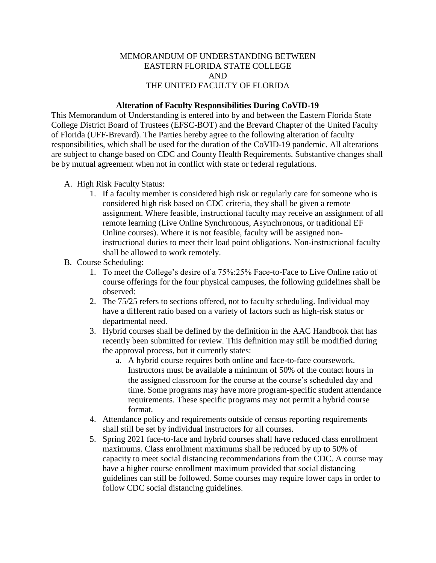## MEMORANDUM OF UNDERSTANDING BETWEEN EASTERN FLORIDA STATE COLLEGE AND THE UNITED FACULTY OF FLORIDA

## **Alteration of Faculty Responsibilities During CoVID-19**

This Memorandum of Understanding is entered into by and between the Eastern Florida State College District Board of Trustees (EFSC-BOT) and the Brevard Chapter of the United Faculty of Florida (UFF-Brevard). The Parties hereby agree to the following alteration of faculty responsibilities, which shall be used for the duration of the CoVID-19 pandemic. All alterations are subject to change based on CDC and County Health Requirements. Substantive changes shall be by mutual agreement when not in conflict with state or federal regulations.

- A. High Risk Faculty Status:
	- 1. If a faculty member is considered high risk or regularly care for someone who is considered high risk based on CDC criteria, they shall be given a remote assignment. Where feasible, instructional faculty may receive an assignment of all remote learning (Live Online Synchronous, Asynchronous, or traditional EF Online courses). Where it is not feasible, faculty will be assigned noninstructional duties to meet their load point obligations. Non-instructional faculty shall be allowed to work remotely.
- B. Course Scheduling:
	- 1. To meet the College's desire of a 75%:25% Face-to-Face to Live Online ratio of course offerings for the four physical campuses, the following guidelines shall be observed:
	- 2. The 75/25 refers to sections offered, not to faculty scheduling. Individual may have a different ratio based on a variety of factors such as high-risk status or departmental need.
	- 3. Hybrid courses shall be defined by the definition in the AAC Handbook that has recently been submitted for review. This definition may still be modified during the approval process, but it currently states:
		- a. A hybrid course requires both online and face-to-face coursework. Instructors must be available a minimum of 50% of the contact hours in the assigned classroom for the course at the course's scheduled day and time. Some programs may have more program-specific student attendance requirements. These specific programs may not permit a hybrid course format.
	- 4. Attendance policy and requirements outside of census reporting requirements shall still be set by individual instructors for all courses.
	- 5. Spring 2021 face-to-face and hybrid courses shall have reduced class enrollment maximums. Class enrollment maximums shall be reduced by up to 50% of capacity to meet social distancing recommendations from the CDC. A course may have a higher course enrollment maximum provided that social distancing guidelines can still be followed. Some courses may require lower caps in order to follow CDC social distancing guidelines.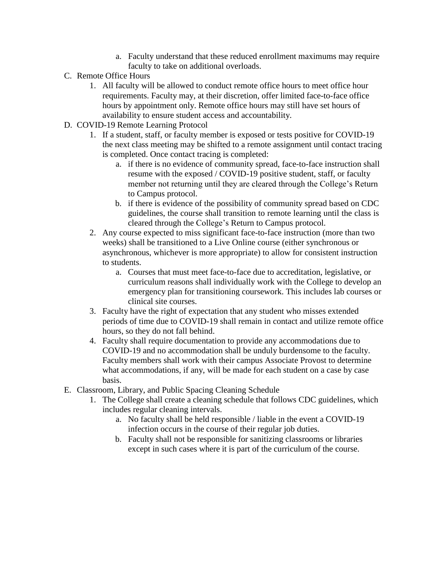- a. Faculty understand that these reduced enrollment maximums may require faculty to take on additional overloads.
- C. Remote Office Hours
	- 1. All faculty will be allowed to conduct remote office hours to meet office hour requirements. Faculty may, at their discretion, offer limited face-to-face office hours by appointment only. Remote office hours may still have set hours of availability to ensure student access and accountability.
- D. COVID-19 Remote Learning Protocol
	- 1. If a student, staff, or faculty member is exposed or tests positive for COVID-19 the next class meeting may be shifted to a remote assignment until contact tracing is completed. Once contact tracing is completed:
		- a. if there is no evidence of community spread, face-to-face instruction shall resume with the exposed / COVID-19 positive student, staff, or faculty member not returning until they are cleared through the College's Return to Campus protocol.
		- b. if there is evidence of the possibility of community spread based on CDC guidelines, the course shall transition to remote learning until the class is cleared through the College's Return to Campus protocol.
	- 2. Any course expected to miss significant face-to-face instruction (more than two weeks) shall be transitioned to a Live Online course (either synchronous or asynchronous, whichever is more appropriate) to allow for consistent instruction to students.
		- a. Courses that must meet face-to-face due to accreditation, legislative, or curriculum reasons shall individually work with the College to develop an emergency plan for transitioning coursework. This includes lab courses or clinical site courses.
	- 3. Faculty have the right of expectation that any student who misses extended periods of time due to COVID-19 shall remain in contact and utilize remote office hours, so they do not fall behind.
	- 4. Faculty shall require documentation to provide any accommodations due to COVID-19 and no accommodation shall be unduly burdensome to the faculty. Faculty members shall work with their campus Associate Provost to determine what accommodations, if any, will be made for each student on a case by case basis.
- E. Classroom, Library, and Public Spacing Cleaning Schedule
	- 1. The College shall create a cleaning schedule that follows CDC guidelines, which includes regular cleaning intervals.
		- a. No faculty shall be held responsible / liable in the event a COVID-19 infection occurs in the course of their regular job duties.
		- b. Faculty shall not be responsible for sanitizing classrooms or libraries except in such cases where it is part of the curriculum of the course.